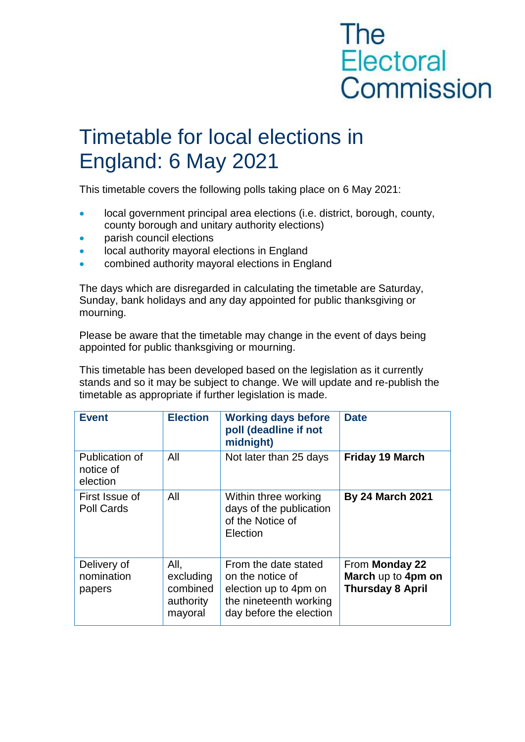## **The Electoral** Commission

## Timetable for local elections in England: 6 May 2021

This timetable covers the following polls taking place on 6 May 2021:

- **IDCAL GOVERTY ARRY EXAMPLE AT A LOCAL GOVERT** final area elections (i.e. district, borough, county, county borough and unitary authority elections)
- parish council elections
- local authority mayoral elections in England
- **•** combined authority mayoral elections in England

The days which are disregarded in calculating the timetable are Saturday, Sunday, bank holidays and any day appointed for public thanksgiving or mourning.

Please be aware that the timetable may change in the event of days being appointed for public thanksgiving or mourning.

This timetable has been developed based on the legislation as it currently stands and so it may be subject to change. We will update and re-publish the timetable as appropriate if further legislation is made.

| <b>Event</b>                            | <b>Election</b>                                       | <b>Working days before</b><br>poll (deadline if not<br>midnight)                                                       | <b>Date</b>                                                     |
|-----------------------------------------|-------------------------------------------------------|------------------------------------------------------------------------------------------------------------------------|-----------------------------------------------------------------|
| Publication of<br>notice of<br>election | All                                                   | Not later than 25 days                                                                                                 | <b>Friday 19 March</b>                                          |
| First Issue of<br>Poll Cards            | All                                                   | Within three working<br>days of the publication<br>of the Notice of<br>Election                                        | <b>By 24 March 2021</b>                                         |
| Delivery of<br>nomination<br>papers     | All,<br>excluding<br>combined<br>authority<br>mayoral | From the date stated<br>on the notice of<br>election up to 4pm on<br>the nineteenth working<br>day before the election | From Monday 22<br>March up to 4pm on<br><b>Thursday 8 April</b> |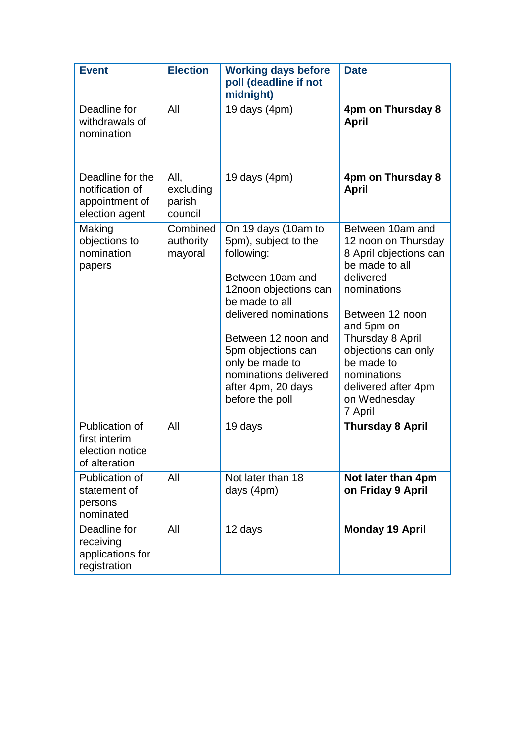| <b>Event</b>                                                            | <b>Election</b>                        | <b>Working days before</b><br>poll (deadline if not<br>midnight)                                                                                                                                                                                                                    | <b>Date</b>                                                                                                                                                                                                                                                                |
|-------------------------------------------------------------------------|----------------------------------------|-------------------------------------------------------------------------------------------------------------------------------------------------------------------------------------------------------------------------------------------------------------------------------------|----------------------------------------------------------------------------------------------------------------------------------------------------------------------------------------------------------------------------------------------------------------------------|
| Deadline for<br>withdrawals of<br>nomination                            | All                                    | 19 days $(4pm)$                                                                                                                                                                                                                                                                     | 4pm on Thursday 8<br><b>April</b>                                                                                                                                                                                                                                          |
| Deadline for the<br>notification of<br>appointment of<br>election agent | All,<br>excluding<br>parish<br>council | 19 days $(4pm)$                                                                                                                                                                                                                                                                     | 4pm on Thursday 8<br>April                                                                                                                                                                                                                                                 |
| Making<br>objections to<br>nomination<br>papers                         | Combined<br>authority<br>mayoral       | On 19 days (10am to<br>5pm), subject to the<br>following:<br>Between 10am and<br>12noon objections can<br>be made to all<br>delivered nominations<br>Between 12 noon and<br>5pm objections can<br>only be made to<br>nominations delivered<br>after 4pm, 20 days<br>before the poll | Between 10am and<br>12 noon on Thursday<br>8 April objections can<br>be made to all<br>delivered<br>nominations<br>Between 12 noon<br>and 5pm on<br>Thursday 8 April<br>objections can only<br>be made to<br>nominations<br>delivered after 4pm<br>on Wednesday<br>7 April |
| Publication of<br>first interim<br>election notice<br>of alteration     | All                                    | 19 days                                                                                                                                                                                                                                                                             | <b>Thursday 8 April</b>                                                                                                                                                                                                                                                    |
| Publication of<br>statement of<br>persons<br>nominated                  | All                                    | Not later than 18<br>days (4pm)                                                                                                                                                                                                                                                     | Not later than 4pm<br>on Friday 9 April                                                                                                                                                                                                                                    |
| Deadline for<br>receiving<br>applications for<br>registration           | All                                    | 12 days                                                                                                                                                                                                                                                                             | <b>Monday 19 April</b>                                                                                                                                                                                                                                                     |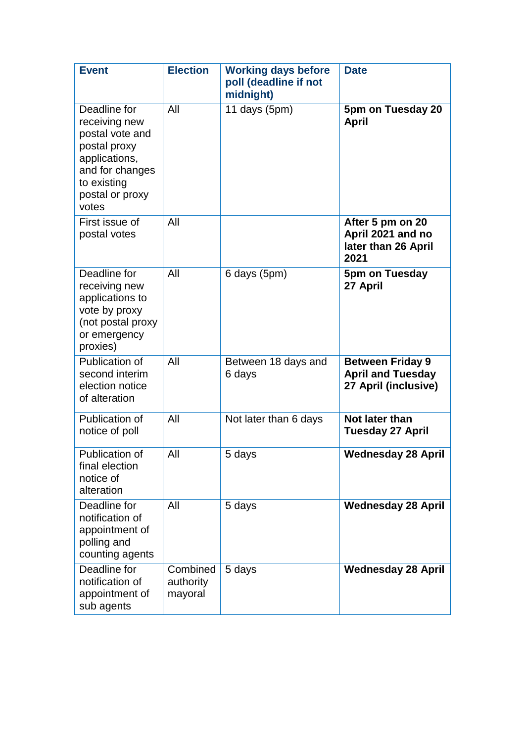| <b>Event</b>                                                                                                                                    | <b>Election</b>                  | <b>Working days before</b><br>poll (deadline if not<br>midnight) | <b>Date</b>                                                                 |
|-------------------------------------------------------------------------------------------------------------------------------------------------|----------------------------------|------------------------------------------------------------------|-----------------------------------------------------------------------------|
| Deadline for<br>receiving new<br>postal vote and<br>postal proxy<br>applications,<br>and for changes<br>to existing<br>postal or proxy<br>votes | All                              | 11 days $(5pm)$                                                  | 5pm on Tuesday 20<br><b>April</b>                                           |
| First issue of<br>postal votes                                                                                                                  | All                              |                                                                  | After 5 pm on 20<br>April 2021 and no<br>later than 26 April<br>2021        |
| Deadline for<br>receiving new<br>applications to<br>vote by proxy<br>(not postal proxy<br>or emergency<br>proxies)                              | All                              | 6 days (5pm)                                                     | 5pm on Tuesday<br>27 April                                                  |
| Publication of<br>second interim<br>election notice<br>of alteration                                                                            | All                              | Between 18 days and<br>6 days                                    | <b>Between Friday 9</b><br><b>April and Tuesday</b><br>27 April (inclusive) |
| Publication of<br>notice of poll                                                                                                                | All                              | Not later than 6 days                                            | Not later than<br><b>Tuesday 27 April</b>                                   |
| Publication of<br>final election<br>notice of<br>alteration                                                                                     | All                              | 5 days                                                           | <b>Wednesday 28 April</b>                                                   |
| Deadline for<br>notification of<br>appointment of<br>polling and<br>counting agents                                                             | All                              | 5 days                                                           | <b>Wednesday 28 April</b>                                                   |
| Deadline for<br>notification of<br>appointment of<br>sub agents                                                                                 | Combined<br>authority<br>mayoral | 5 days                                                           | <b>Wednesday 28 April</b>                                                   |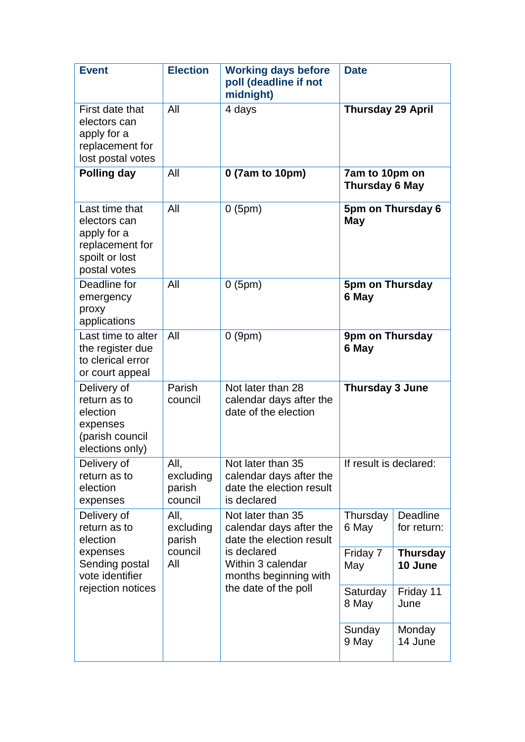| <b>Event</b>                                                                                                  | <b>Election</b>                               | <b>Working days before</b><br>poll (deadline if not<br>midnight)                                                                                              | <b>Date</b>                      |                            |
|---------------------------------------------------------------------------------------------------------------|-----------------------------------------------|---------------------------------------------------------------------------------------------------------------------------------------------------------------|----------------------------------|----------------------------|
| First date that<br>electors can<br>apply for a<br>replacement for<br>lost postal votes                        | All                                           | 4 days                                                                                                                                                        | <b>Thursday 29 April</b>         |                            |
| Polling day                                                                                                   | All                                           | 0 (7am to 10pm)                                                                                                                                               | 7am to 10pm on<br>Thursday 6 May |                            |
| Last time that<br>electors can<br>apply for a<br>replacement for<br>spoilt or lost<br>postal votes            | All                                           | 0(5pm)                                                                                                                                                        | 5pm on Thursday 6<br>May         |                            |
| Deadline for<br>emergency<br>proxy<br>applications                                                            | All                                           | 0(5pm)                                                                                                                                                        | 5pm on Thursday<br>6 May         |                            |
| Last time to alter<br>the register due<br>to clerical error<br>or court appeal                                | All                                           | 0(9pm)                                                                                                                                                        | 9pm on Thursday<br>6 May         |                            |
| Delivery of<br>return as to<br>election<br>expenses<br>(parish council<br>elections only)                     | Parish<br>council                             | Not later than 28<br>calendar days after the<br>date of the election                                                                                          | Thursday 3 June                  |                            |
| Delivery of<br>return as to<br>election<br>expenses                                                           | All,<br>excluding<br>parish<br>council        | Not later than 35<br>calendar days after the<br>date the election result<br>is declared                                                                       | If result is declared:           |                            |
| Delivery of<br>return as to<br>election<br>expenses<br>Sending postal<br>vote identifier<br>rejection notices | All,<br>excluding<br>parish<br>council<br>All | Not later than 35<br>calendar days after the<br>date the election result<br>is declared<br>Within 3 calendar<br>months beginning with<br>the date of the poll | Thursday<br>6 May                | Deadline<br>for return:    |
|                                                                                                               |                                               |                                                                                                                                                               | Friday 7<br>May                  | <b>Thursday</b><br>10 June |
|                                                                                                               |                                               |                                                                                                                                                               | Saturday<br>8 May                | Friday 11<br>June          |
|                                                                                                               |                                               |                                                                                                                                                               | Sunday<br>9 May                  | Monday<br>14 June          |